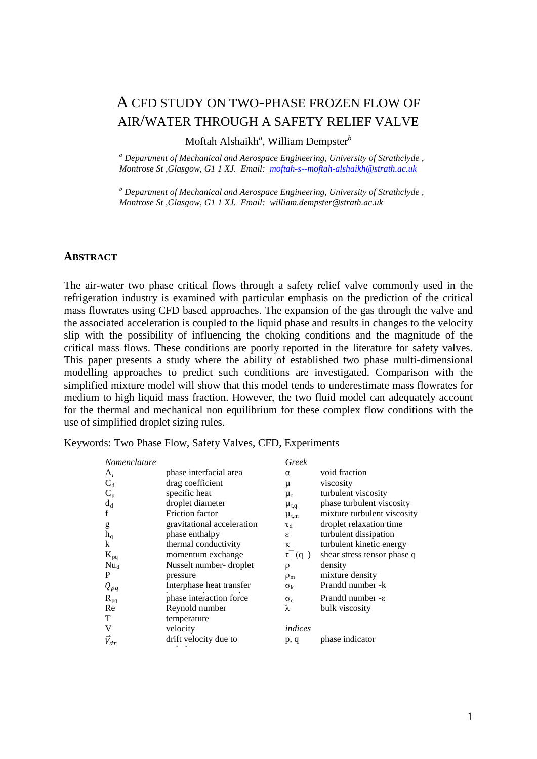# A CFD STUDY ON TWO-PHASE FROZEN FLOW OF AIR/WATER THROUGH A SAFETY RELIEF VALVE

Moftah Alshaikh*<sup>a</sup>* , William Dempster*<sup>b</sup>*

*<sup>a</sup> Department of Mechanical and Aerospace Engineering, University of Strathclyde , Montrose St ,Glasgow, G1 1 XJ. Email: [moftah-s--moftah-alshaikh@strath.ac.uk](mailto:moftah-s--moftah-alshaikh@strath.ac.uk)*

*<sup>b</sup> Department of Mechanical and Aerospace Engineering, University of Strathclyde , Montrose St ,Glasgow, G1 1 XJ. Email: william.dempster@strath.ac.uk*

#### **ABSTRACT**

The air-water two phase critical flows through a safety relief valve commonly used in the refrigeration industry is examined with particular emphasis on the prediction of the critical mass flowrates using CFD based approaches. The expansion of the gas through the valve and the associated acceleration is coupled to the liquid phase and results in changes to the velocity slip with the possibility of influencing the choking conditions and the magnitude of the critical mass flows. These conditions are poorly reported in the literature for safety valves. This paper presents a study where the ability of established two phase multi-dimensional modelling approaches to predict such conditions are investigated. Comparison with the simplified mixture model will show that this model tends to underestimate mass flowrates for medium to high liquid mass fraction. However, the two fluid model can adequately account for the thermal and mechanical non equilibrium for these complex flow conditions with the use of simplified droplet sizing rules.

| Nomenclature   |                            | Greek               |                               |
|----------------|----------------------------|---------------------|-------------------------------|
| $A_i$          | phase interfacial area     | α                   | void fraction                 |
| $C_d$          | drag coefficient           | μ                   | viscosity                     |
| $C_p$          | specific heat              | $\mu_t$             | turbulent viscosity           |
| $d_d$          | droplet diameter           | $\mu_{t,q}$         | phase turbulent viscosity     |
| f              | Friction factor            | $\mu_{t,m}$         | mixture turbulent viscosity   |
| g              | gravitational acceleration | $\tau_d$            | droplet relaxation time       |
| $h_q$          | phase enthalpy             | ε                   | turbulent dissipation         |
| k              | thermal conductivity       | ĸ                   | turbulent kinetic energy      |
| $K_{pq}$       | momentum exchange          | $\tau^{-}(q)$       | shear stress tensor phase q   |
| $Nu_d$         | Nusselt number-droplet     | ρ                   | density                       |
| P              | pressure                   | $\rho_m$            | mixture density               |
| $Q_{pq}$       | Interphase heat transfer   | $\sigma_{k}$        | Prandtl number -k             |
| $R_{pq}$       | phase interaction force    | $\sigma_{\epsilon}$ | Prandtl number $-\varepsilon$ |
| Re             | Reynold number             | λ                   | bulk viscosity                |
| Т              | temperature                |                     |                               |
| V              | velocity                   | indices             |                               |
| $\vec{V}_{dr}$ | drift velocity due to      | p, q                | phase indicator               |
|                |                            |                     |                               |

Keywords: Two Phase Flow, Safety Valves, CFD, Experiments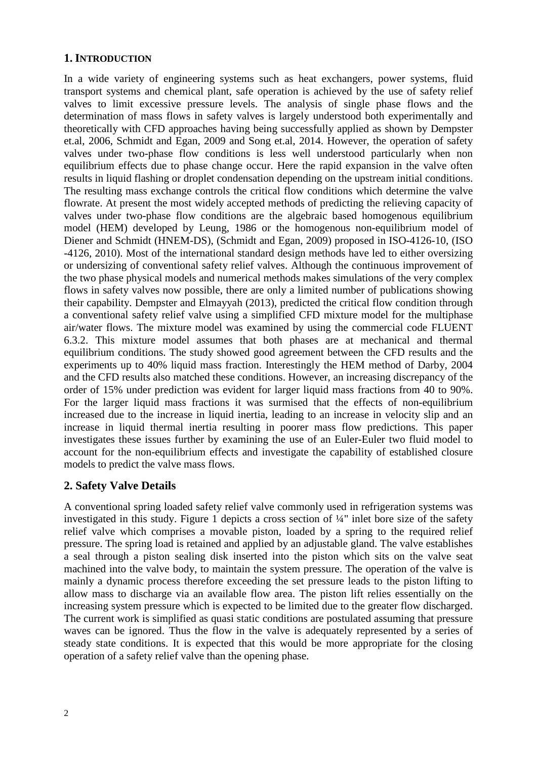### **1. INTRODUCTION**

In a wide variety of engineering systems such as heat exchangers, power systems, fluid transport systems and chemical plant, safe operation is achieved by the use of safety relief valves to limit excessive pressure levels. The analysis of single phase flows and the determination of mass flows in safety valves is largely understood both experimentally and theoretically with CFD approaches having being successfully applied as shown by Dempster et.al, 2006, Schmidt and Egan, 2009 and Song et.al, 2014. However, the operation of safety valves under two-phase flow conditions is less well understood particularly when non equilibrium effects due to phase change occur. Here the rapid expansion in the valve often results in liquid flashing or droplet condensation depending on the upstream initial conditions. The resulting mass exchange controls the critical flow conditions which determine the valve flowrate. At present the most widely accepted methods of predicting the relieving capacity of valves under two-phase flow conditions are the algebraic based homogenous equilibrium model (HEM) developed by Leung, 1986 or the homogenous non-equilibrium model of Diener and Schmidt (HNEM-DS), (Schmidt and Egan, 2009) proposed in ISO-4126-10, (ISO -4126, 2010). Most of the international standard design methods have led to either oversizing or undersizing of conventional safety relief valves. Although the continuous improvement of the two phase physical models and numerical methods makes simulations of the very complex flows in safety valves now possible, there are only a limited number of publications showing their capability. Dempster and Elmayyah (2013), predicted the critical flow condition through a conventional safety relief valve using a simplified CFD mixture model for the multiphase air/water flows. The mixture model was examined by using the commercial code FLUENT 6.3.2. This mixture model assumes that both phases are at mechanical and thermal equilibrium conditions. The study showed good agreement between the CFD results and the experiments up to 40% liquid mass fraction. Interestingly the HEM method of Darby, 2004 and the CFD results also matched these conditions. However, an increasing discrepancy of the order of 15% under prediction was evident for larger liquid mass fractions from 40 to 90%. For the larger liquid mass fractions it was surmised that the effects of non-equilibrium increased due to the increase in liquid inertia, leading to an increase in velocity slip and an increase in liquid thermal inertia resulting in poorer mass flow predictions. This paper investigates these issues further by examining the use of an Euler-Euler two fluid model to account for the non-equilibrium effects and investigate the capability of established closure models to predict the valve mass flows.

## **2. Safety Valve Details**

A conventional spring loaded safety relief valve commonly used in refrigeration systems was investigated in this study. Figure 1 depicts a cross section of ¼" inlet bore size of the safety relief valve which comprises a movable piston, loaded by a spring to the required relief pressure. The spring load is retained and applied by an adjustable gland. The valve establishes a seal through a piston sealing disk inserted into the piston which sits on the valve seat machined into the valve body, to maintain the system pressure. The operation of the valve is mainly a dynamic process therefore exceeding the set pressure leads to the piston lifting to allow mass to discharge via an available flow area. The piston lift relies essentially on the increasing system pressure which is expected to be limited due to the greater flow discharged. The current work is simplified as quasi static conditions are postulated assuming that pressure waves can be ignored. Thus the flow in the valve is adequately represented by a series of steady state conditions. It is expected that this would be more appropriate for the closing operation of a safety relief valve than the opening phase.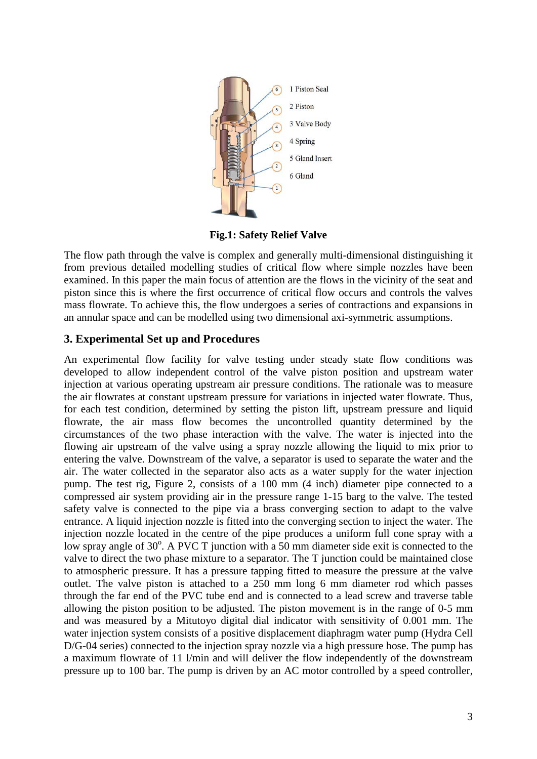

**Fig.1: Safety Relief Valve**

The flow path through the valve is complex and generally multi-dimensional distinguishing it from previous detailed modelling studies of critical flow where simple nozzles have been examined. In this paper the main focus of attention are the flows in the vicinity of the seat and piston since this is where the first occurrence of critical flow occurs and controls the valves mass flowrate. To achieve this, the flow undergoes a series of contractions and expansions in an annular space and can be modelled using two dimensional axi-symmetric assumptions.

# **3. Experimental Set up and Procedures**

An experimental flow facility for valve testing under steady state flow conditions was developed to allow independent control of the valve piston position and upstream water injection at various operating upstream air pressure conditions. The rationale was to measure the air flowrates at constant upstream pressure for variations in injected water flowrate. Thus, for each test condition, determined by setting the piston lift, upstream pressure and liquid flowrate, the air mass flow becomes the uncontrolled quantity determined by the circumstances of the two phase interaction with the valve. The water is injected into the flowing air upstream of the valve using a spray nozzle allowing the liquid to mix prior to entering the valve. Downstream of the valve, a separator is used to separate the water and the air. The water collected in the separator also acts as a water supply for the water injection pump. The test rig, Figure 2, consists of a 100 mm (4 inch) diameter pipe connected to a compressed air system providing air in the pressure range 1-15 barg to the valve. The tested safety valve is connected to the pipe via a brass converging section to adapt to the valve entrance. A liquid injection nozzle is fitted into the converging section to inject the water. The injection nozzle located in the centre of the pipe produces a uniform full cone spray with a low spray angle of  $30^{\circ}$ . A PVC T junction with a 50 mm diameter side exit is connected to the valve to direct the two phase mixture to a separator. The T junction could be maintained close to atmospheric pressure. It has a pressure tapping fitted to measure the pressure at the valve outlet. The valve piston is attached to a 250 mm long 6 mm diameter rod which passes through the far end of the PVC tube end and is connected to a lead screw and traverse table allowing the piston position to be adjusted. The piston movement is in the range of 0-5 mm and was measured by a Mitutoyo digital dial indicator with sensitivity of 0.001 mm. The water injection system consists of a positive displacement diaphragm water pump (Hydra Cell D/G-04 series) connected to the injection spray nozzle via a high pressure hose. The pump has a maximum flowrate of 11 l/min and will deliver the flow independently of the downstream pressure up to 100 bar. The pump is driven by an AC motor controlled by a speed controller,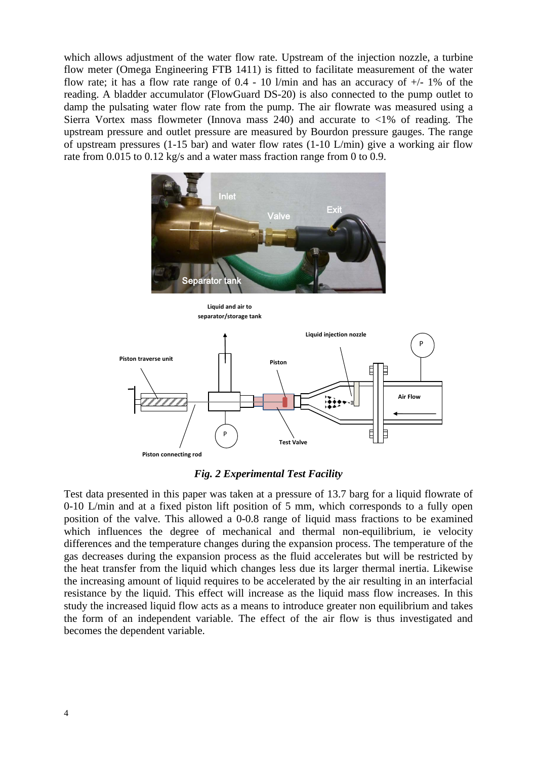which allows adjustment of the water flow rate. Upstream of the injection nozzle, a turbine flow meter (Omega Engineering FTB 1411) is fitted to facilitate measurement of the water flow rate; it has a flow rate range of  $0.4 - 10$  l/min and has an accuracy of  $+/- 1\%$  of the reading. A bladder accumulator (FlowGuard DS-20) is also connected to the pump outlet to damp the pulsating water flow rate from the pump. The air flowrate was measured using a Sierra Vortex mass flowmeter (Innova mass 240) and accurate to  $\langle 1\%$  of reading. The upstream pressure and outlet pressure are measured by Bourdon pressure gauges. The range of upstream pressures  $(1-15$  bar) and water flow rates  $(1-10)$  L/min) give a working air flow rate from 0.015 to 0.12 kg/s and a water mass fraction range from 0 to 0.9.



**Liquid and air to separator/storage tank**



*Fig. 2 Experimental Test Facility*

Test data presented in this paper was taken at a pressure of 13.7 barg for a liquid flowrate of 0-10 L/min and at a fixed piston lift position of 5 mm, which corresponds to a fully open position of the valve. This allowed a 0-0.8 range of liquid mass fractions to be examined which influences the degree of mechanical and thermal non-equilibrium, ie velocity differences and the temperature changes during the expansion process. The temperature of the gas decreases during the expansion process as the fluid accelerates but will be restricted by the heat transfer from the liquid which changes less due its larger thermal inertia. Likewise the increasing amount of liquid requires to be accelerated by the air resulting in an interfacial resistance by the liquid. This effect will increase as the liquid mass flow increases. In this study the increased liquid flow acts as a means to introduce greater non equilibrium and takes the form of an independent variable. The effect of the air flow is thus investigated and becomes the dependent variable.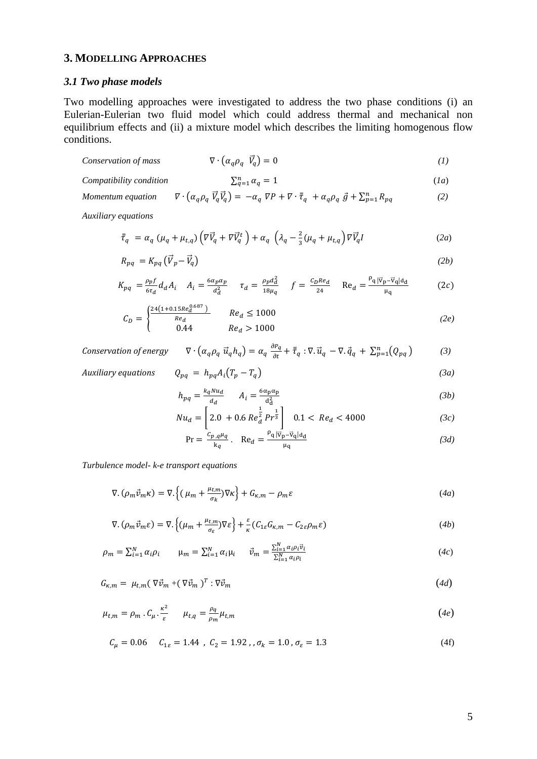#### **3. MODELLING APPROACHES**

#### *3.1 Two phase models*

Two modelling approaches were investigated to address the two phase conditions (i) an Eulerian-Eulerian two fluid model which could address thermal and mechanical non equilibrium effects and (ii) a mixture model which describes the limiting homogenous flow conditions.

Conservation of mass 
$$
\nabla \cdot \left( \alpha_q \rho_q \ \vec{V}_q \right) = 0 \tag{1}
$$

*Compatibility condition* ∑ = 1 =1 (*1a*)

*Momentum equation* 
$$
\nabla \cdot \left( \alpha_q \rho_q \vec{V}_q \vec{V}_q \right) = -\alpha_q \nabla P + \nabla \cdot \bar{\bar{\tau}}_q + \alpha_q \rho_q \vec{g} + \sum_{p=1}^n R_{pq} \tag{2}
$$

*Auxiliary equations*

$$
\bar{\bar{\tau}}_q = \alpha_q \left( \mu_q + \mu_{t,q} \right) \left( \nabla \vec{V}_q + \nabla \vec{V}_q^t \right) + \alpha_q \left( \lambda_q - \frac{2}{3} (\mu_q + \mu_{t,q}) \nabla \vec{V}_q \right)
$$
(2a)

$$
R_{pq} = K_{pq} \left( \vec{V}_p - \vec{V}_q \right) \tag{2b}
$$

$$
K_{pq} = \frac{\rho_p f}{6\tau_d} d_d A_i \quad A_i = \frac{6\alpha_p \alpha_p}{d_d^2} \quad \tau_d = \frac{\rho_p d_d^2}{18\mu_q} \quad f = \frac{c_p Re_d}{24} \quad \text{Re}_d = \frac{\rho_q |\vec{v}_p - \vec{v}_q| d_d}{\mu_q} \tag{2c}
$$

$$
C_D = \begin{cases} \frac{24(1+0.15Re_d^{0.687})}{Re_d} & Re_d \le 1000\\ 0.44 & Re_d > 1000 \end{cases}
$$
 (2e)

*Conservation of energy*  $\nabla \cdot (\alpha_q \rho_q \vec{u}_q h_q) = \alpha_q \frac{\partial^p q}{\partial t} + \overline{\overline{t}}_q : \nabla \cdot \vec{u}_q - \nabla \cdot \vec{q}_q + \sum_{p=1}^n (Q_{pq})$  (3)

*Auxiliary equations*  $Q$ 

$$
Q_{pq} = h_{pq} A_i (T_p - T_q) \tag{3a}
$$

$$
h_{pq} = \frac{k_q N u_d}{d_d} \qquad A_i = \frac{6\alpha_p \alpha_p}{d_d^2} \tag{3b}
$$

$$
Nu_d = \left[2.0 + 0.6 \, Re_d^{\frac{1}{2}} \, Pr^{\frac{1}{3}}\right] \quad 0.1 < Re_d < 4000 \tag{3c}
$$

$$
\Pr = \frac{c_{p,q}\mu_q}{k_q}. \quad \text{Re}_d = \frac{\rho_q |\vec{v}_p - \vec{v}_q| d_d}{\mu_q} \tag{3d}
$$

*Turbulence model- k-e transport equations*

$$
\nabla.(\rho_m \vec{v}_m \kappa) = \nabla. \left\{ (\mu_m + \frac{\mu_{t,m}}{\sigma_k}) \nabla \kappa \right\} + G_{\kappa,m} - \rho_m \varepsilon \tag{4a}
$$

$$
\nabla \cdot (\rho_m \vec{v}_m \varepsilon) = \nabla \cdot \left\{ (\mu_m + \frac{\mu_{t,m}}{\sigma_{\varepsilon}}) \nabla \varepsilon \right\} + \frac{\varepsilon}{\kappa} (C_{1\varepsilon} G_{\kappa,m} - C_{2\varepsilon} \rho_m \varepsilon)
$$
(4b)

$$
\rho_m = \sum_{i=1}^N \alpha_i \rho_i \qquad \mu_m = \sum_{i=1}^N \alpha_i \mu_i \qquad \vec{\nu}_m = \frac{\sum_{i=1}^N \alpha_i \rho_i \vec{\nu}_i}{\sum_{i=1}^N \alpha_i \rho_i}
$$
\n
$$
(4c)
$$

$$
G_{\kappa,m} = \mu_{t,m} (\nabla \vec{\nu}_m + (\nabla \vec{\nu}_m)^T : \nabla \vec{\nu}_m
$$
\n(4d)

$$
\mu_{t,m} = \rho_m \cdot C_\mu \cdot \frac{\kappa^2}{\varepsilon} \qquad \mu_{t,q} = \frac{\rho_q}{\rho_m} \mu_{t,m} \tag{4e}
$$

$$
C_{\mu} = 0.06 \t C_{1\varepsilon} = 1.44 \t, C_2 = 1.92 \t, \t, \t\sigma_k = 1.0 \t, \t\sigma_{\varepsilon} = 1.3 \t\t(4f)
$$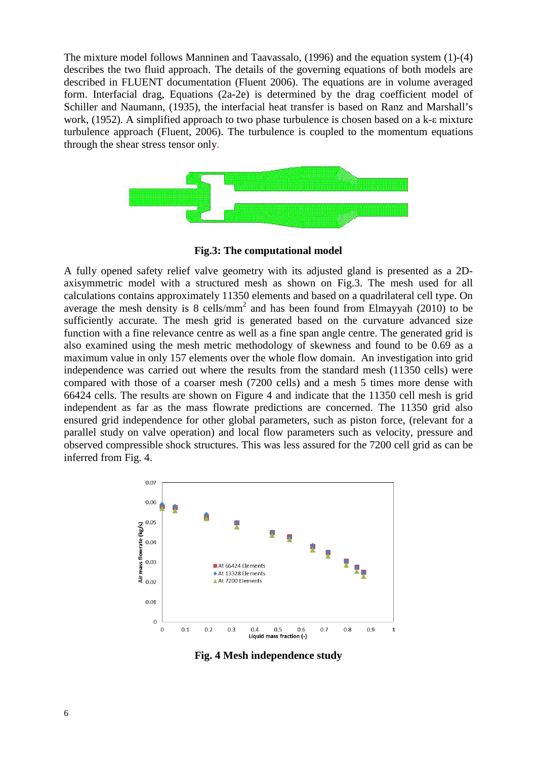The mixture model follows Manninen and Taavassalo, (1996) and the equation system (1)-(4) describes the two fluid approach. The details of the governing equations of both models are described in FLUENT documentation (Fluent 2006). The equations are in volume averaged form. Interfacial drag, Equations (2a-2e) is determined by the drag coefficient model of Schiller and Naumann, (1935), the interfacial heat transfer is based on Ranz and Marshall's work, (1952). A simplified approach to two phase turbulence is chosen based on a k-ε mixture turbulence approach (Fluent, 2006). The turbulence is coupled to the momentum equations through the shear stress tensor only.



**Fig.3: The computational model**

A fully opened safety relief valve geometry with its adjusted gland is presented as a 2Daxisymmetric model with a structured mesh as shown on Fig.3. The mesh used for all calculations contains approximately 11350 elements and based on a quadrilateral cell type. On average the mesh density is  $8 \text{ cells/mm}^2$  and has been found from Elmayyah (2010) to be sufficiently accurate. The mesh grid is generated based on the curvature advanced size function with a fine relevance centre as well as a fine span angle centre. The generated grid is also examined using the mesh metric methodology of skewness and found to be 0.69 as a maximum value in only 157 elements over the whole flow domain. An investigation into grid independence was carried out where the results from the standard mesh (11350 cells) were compared with those of a coarser mesh (7200 cells) and a mesh 5 times more dense with 66424 cells. The results are shown on Figure 4 and indicate that the 11350 cell mesh is grid independent as far as the mass flowrate predictions are concerned. The 11350 grid also ensured grid independence for other global parameters, such as piston force, (relevant for a parallel study on valve operation) and local flow parameters such as velocity, pressure and observed compressible shock structures. This was less assured for the 7200 cell grid as can be inferred from Fig. 4.



**Fig. 4 Mesh independence study**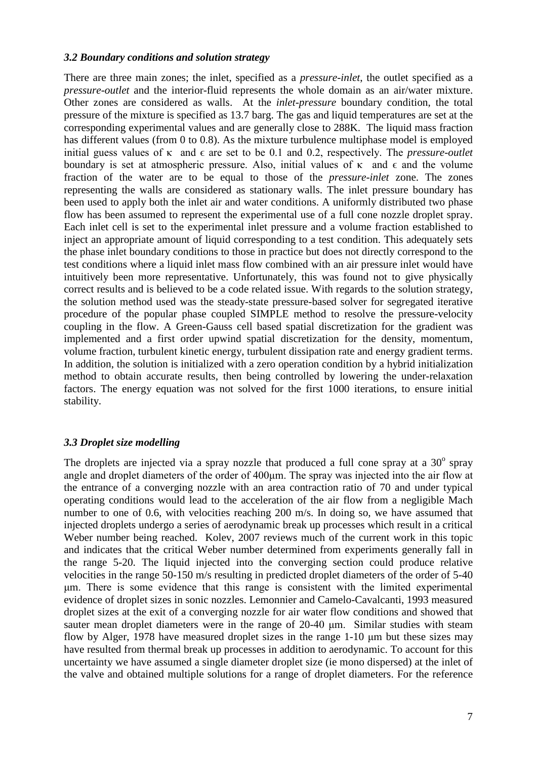### *3.2 Boundary conditions and solution strategy*

There are three main zones; the inlet, specified as a *pressure-inlet*, the outlet specified as a *pressure-outlet* and the interior-fluid represents the whole domain as an air/water mixture. Other zones are considered as walls. At the *inlet-pressure* boundary condition, the total pressure of the mixture is specified as 13.7 barg. The gas and liquid temperatures are set at the corresponding experimental values and are generally close to 288K. The liquid mass fraction has different values (from 0 to 0.8). As the mixture turbulence multiphase model is employed initial guess values of  $\kappa$  and  $\epsilon$  are set to be 0.1 and 0.2, respectively. The *pressure-outlet* boundary is set at atmospheric pressure. Also, initial values of  $\kappa$  and  $\epsilon$  and the volume fraction of the water are to be equal to those of the *pressure-inlet* zone. The zones representing the walls are considered as stationary walls. The inlet pressure boundary has been used to apply both the inlet air and water conditions. A uniformly distributed two phase flow has been assumed to represent the experimental use of a full cone nozzle droplet spray. Each inlet cell is set to the experimental inlet pressure and a volume fraction established to inject an appropriate amount of liquid corresponding to a test condition. This adequately sets the phase inlet boundary conditions to those in practice but does not directly correspond to the test conditions where a liquid inlet mass flow combined with an air pressure inlet would have intuitively been more representative. Unfortunately, this was found not to give physically correct results and is believed to be a code related issue. With regards to the solution strategy, the solution method used was the steady-state pressure-based solver for segregated iterative procedure of the popular phase coupled SIMPLE method to resolve the pressure-velocity coupling in the flow. A Green-Gauss cell based spatial discretization for the gradient was implemented and a first order upwind spatial discretization for the density, momentum, volume fraction, turbulent kinetic energy, turbulent dissipation rate and energy gradient terms. In addition, the solution is initialized with a zero operation condition by a hybrid initialization method to obtain accurate results, then being controlled by lowering the under-relaxation factors. The energy equation was not solved for the first 1000 iterations, to ensure initial stability.

### *3.3 Droplet size modelling*

The droplets are injected via a spray nozzle that produced a full cone spray at a  $30^{\circ}$  spray angle and droplet diameters of the order of 400μm. The spray was injected into the air flow at the entrance of a converging nozzle with an area contraction ratio of 70 and under typical operating conditions would lead to the acceleration of the air flow from a negligible Mach number to one of 0.6, with velocities reaching 200 m/s. In doing so, we have assumed that injected droplets undergo a series of aerodynamic break up processes which result in a critical Weber number being reached. Kolev, 2007 reviews much of the current work in this topic and indicates that the critical Weber number determined from experiments generally fall in the range 5-20. The liquid injected into the converging section could produce relative velocities in the range 50-150 m/s resulting in predicted droplet diameters of the order of 5-40 μm. There is some evidence that this range is consistent with the limited experimental evidence of droplet sizes in sonic nozzles. Lemonnier and Camelo-Cavalcanti, 1993 measured droplet sizes at the exit of a converging nozzle for air water flow conditions and showed that sauter mean droplet diameters were in the range of 20-40 μm. Similar studies with steam flow by Alger, 1978 have measured droplet sizes in the range 1-10 μm but these sizes may have resulted from thermal break up processes in addition to aerodynamic. To account for this uncertainty we have assumed a single diameter droplet size (ie mono dispersed) at the inlet of the valve and obtained multiple solutions for a range of droplet diameters. For the reference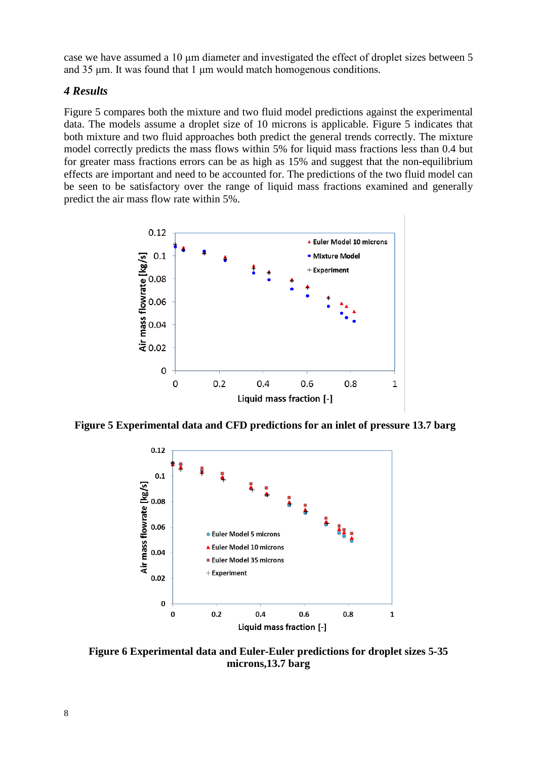case we have assumed a 10 μm diameter and investigated the effect of droplet sizes between 5 and 35 μm. It was found that 1 μm would match homogenous conditions*.*

# *4 Results*

Figure 5 compares both the mixture and two fluid model predictions against the experimental data. The models assume a droplet size of 10 microns is applicable. Figure 5 indicates that both mixture and two fluid approaches both predict the general trends correctly. The mixture model correctly predicts the mass flows within 5% for liquid mass fractions less than 0.4 but for greater mass fractions errors can be as high as 15% and suggest that the non-equilibrium effects are important and need to be accounted for. The predictions of the two fluid model can be seen to be satisfactory over the range of liquid mass fractions examined and generally predict the air mass flow rate within 5%.



**Figure 5 Experimental data and CFD predictions for an inlet of pressure 13.7 barg**



**Figure 6 Experimental data and Euler-Euler predictions for droplet sizes 5-35 microns,13.7 barg**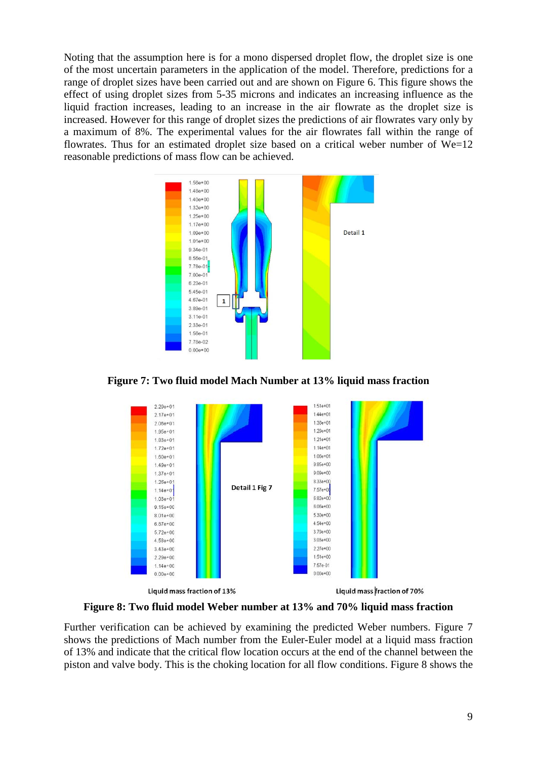Noting that the assumption here is for a mono dispersed droplet flow, the droplet size is one of the most uncertain parameters in the application of the model. Therefore, predictions for a range of droplet sizes have been carried out and are shown on Figure 6. This figure shows the effect of using droplet sizes from 5-35 microns and indicates an increasing influence as the liquid fraction increases, leading to an increase in the air flowrate as the droplet size is increased. However for this range of droplet sizes the predictions of air flowrates vary only by a maximum of 8%. The experimental values for the air flowrates fall within the range of flowrates. Thus for an estimated droplet size based on a critical weber number of  $We=12$ reasonable predictions of mass flow can be achieved.



**Figure 7: Two fluid model Mach Number at 13% liquid mass fraction**



**Figure 8: Two fluid model Weber number at 13% and 70% liquid mass fraction**

Further verification can be achieved by examining the predicted Weber numbers. Figure 7 shows the predictions of Mach number from the Euler-Euler model at a liquid mass fraction of 13% and indicate that the critical flow location occurs at the end of the channel between the piston and valve body. This is the choking location for all flow conditions. Figure 8 shows the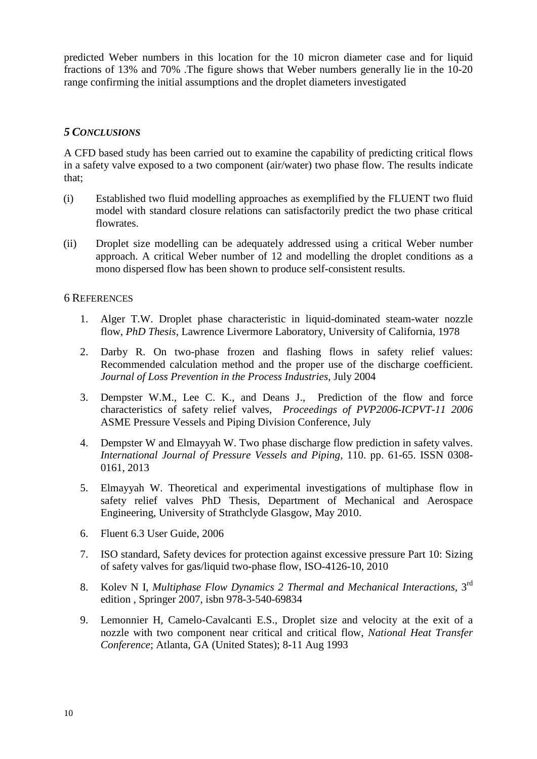predicted Weber numbers in this location for the 10 micron diameter case and for liquid fractions of 13% and 70% .The figure shows that Weber numbers generally lie in the 10-20 range confirming the initial assumptions and the droplet diameters investigated

## *5 CONCLUSIONS*

A CFD based study has been carried out to examine the capability of predicting critical flows in a safety valve exposed to a two component (air/water) two phase flow. The results indicate that;

- (i) Established two fluid modelling approaches as exemplified by the FLUENT two fluid model with standard closure relations can satisfactorily predict the two phase critical flowrates.
- (ii) Droplet size modelling can be adequately addressed using a critical Weber number approach. A critical Weber number of 12 and modelling the droplet conditions as a mono dispersed flow has been shown to produce self-consistent results.

## 6 REFERENCES

- 1. Alger T.W. Droplet phase characteristic in liquid-dominated steam-water nozzle flow, *PhD Thesis*, Lawrence Livermore Laboratory, University of California, 1978
- 2. Darby R. On two-phase frozen and flashing flows in safety relief values: Recommended calculation method and the proper use of the discharge coefficient. *Journal of Loss Prevention in the Process Industries*, July 2004
- 3. Dempster W.M., Lee C. K., and Deans J., Prediction of the flow and force characteristics of safety relief valves, *Proceedings of PVP2006-ICPVT-11 2006* ASME Pressure Vessels and Piping Division Conference, July
- 4. Dempster W and Elmayyah W. Two phase discharge flow prediction in safety valves. *International Journal of Pressure Vessels and Piping,* 110. pp. 61-65. ISSN 0308- 0161, 2013
- 5. Elmayyah W. Theoretical and experimental investigations of multiphase flow in safety relief valves PhD Thesis, Department of Mechanical and Aerospace Engineering, University of Strathclyde Glasgow, May 2010.
- 6. Fluent 6.3 User Guide, 2006
- 7. ISO standard, Safety devices for protection against excessive pressure Part 10: Sizing of safety valves for gas/liquid two-phase flow, ISO-4126-10, 2010
- 8. Kolev N I, *Multiphase Flow Dynamics 2 Thermal and Mechanical Interactions*, 3rd edition , Springer 2007, isbn 978-3-540-69834
- 9. Lemonnier H, Camelo-Cavalcanti E.S., Droplet size and velocity at the exit of a nozzle with two component near critical and critical flow, *National Heat Transfer Conference*; Atlanta, GA (United States); 8-11 Aug 1993